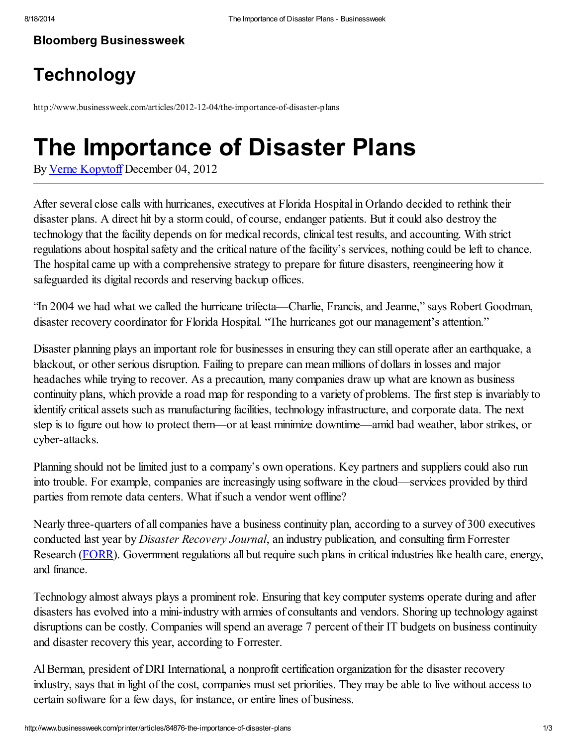### Bloomberg [Businessweek](http://www.businessweek.com/)

## **[Technology](http://www.businessweek.com/technology)**

http://www.businessweek.com/articles/2012-12-04/the-importance-of-disaster-plans

# The Importance of Disaster Plans

By Verne [Kopytoff](http://www.businessweek.com/authors/51394-verne-kopytoff) December 04, 2012

After several close calls with hurricanes, executives at Florida Hospital in Orlando decided to rethink their disaster plans. A direct hit by a storm could, of course, endanger patients. But it could also destroy the technology that the facility depends on for medical records, clinical test results, and accounting. With strict regulations about hospital safety and the critical nature of the facility's services, nothing could be left to chance. The hospital came up with a comprehensive strategy to prepare for future disasters, reengineering how it safeguarded its digital records and reserving backup offices.

"In 2004 we had what we called the hurricane trifecta—Charlie, Francis, and Jeanne," says Robert Goodman, disaster recovery coordinator for Florida Hospital. "The hurricanes got our management's attention."

Disaster planning plays an important role for businesses in ensuring they can still operate after an earthquake, a blackout, or other serious disruption. Failing to prepare can mean millions of dollars in losses and major headaches while trying to recover. As a precaution, many companies draw up what are known as business continuity plans, which provide a road map for responding to a variety of problems. The first step is invariably to identify critical assets such as manufacturing facilities, technology infrastructure, and corporate data. The next step is to figure out how to protect them—or at least minimize downtime—amid bad weather, labor strikes, or cyber-attacks.

Planning should not be limited just to a company's own operations. Key partners and suppliers could also run into trouble. For example, companies are increasingly using software in the cloud—services provided by third parties from remote data centers. What if such a vendor went offline?

Nearly three-quarters of all companies have a business continuity plan, according to a survey of 300 executives conducted last year by *Disaster Recovery Journal*, an industry publication, and consulting firm Forrester Research [\(FORR](http://investing.businessweek.com/research/stocks/snapshot/snapshot.asp?ticker=FORR)). Government regulations all but require such plans in critical industries like health care, energy, and finance.

Technology almost always plays a prominent role. Ensuring that key computer systems operate during and after disasters has evolved into a mini-industry with armies of consultants and vendors. Shoring up technology against disruptions can be costly. Companies will spend an average 7 percent of their IT budgets on business continuity and disaster recovery this year, according to Forrester.

AlBerman, president of DRI International, a nonprofit certification organization for the disaster recovery industry, says that in light of the cost, companies must set priorities. They may be able to live without access to certain software for a few days, for instance, or entire lines of business.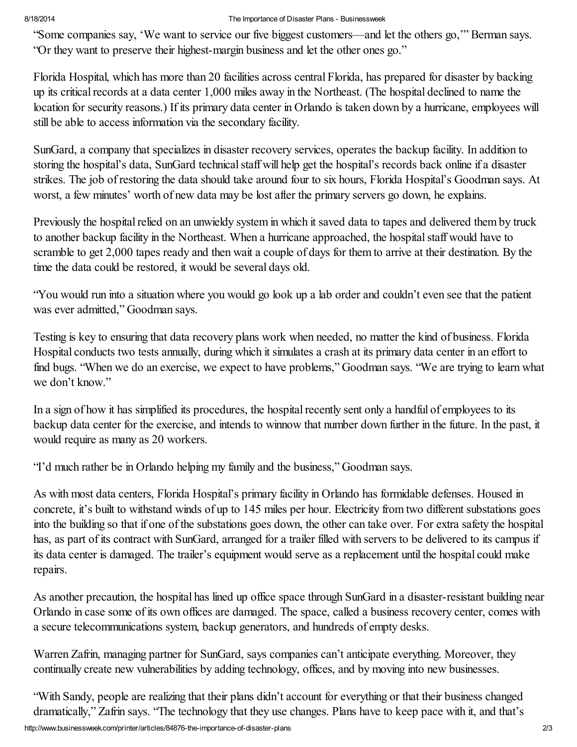#### 8/18/2014 The Importance of Disaster Plans - Businessweek

"Some companies say, 'We want to service our five biggest customers—and let the others go,'" Berman says. "Or they want to preserve their highest-margin business and let the other ones go."

Florida Hospital, which has more than 20 facilities across central Florida, has prepared for disaster by backing up its critical records at a data center 1,000 miles away in the Northeast. (The hospital declined to name the location for security reasons.) If its primary data center in Orlando is taken down by a hurricane, employees will still be able to access information via the secondary facility.

SunGard, a company that specializes in disaster recovery services, operates the backup facility. In addition to storing the hospital's data, SunGard technical staff will help get the hospital's records back online if a disaster strikes. The job of restoring the data should take around four to six hours, Florida Hospital's Goodman says. At worst, a few minutes' worth of new data may be lost after the primary servers go down, he explains.

Previously the hospital relied on an unwieldy system in which it saved data to tapes and delivered them by truck to another backup facility in the Northeast. When a hurricane approached, the hospital staff would have to scramble to get 2,000 tapes ready and then wait a couple of days for them to arrive at their destination. By the time the data could be restored, it would be several days old.

"You would run into a situation where you would go look up a lab order and couldn't even see that the patient was ever admitted," Goodman says.

Testing is key to ensuring that data recovery plans work when needed, no matter the kind of business. Florida Hospital conducts two tests annually, during which it simulates a crash at its primary data center in an effort to find bugs. "When we do an exercise, we expect to have problems," Goodman says. "We are trying to learn what we don't know."

In a sign of how it has simplified its procedures, the hospital recently sent only a handful of employees to its backup data center for the exercise, and intends to winnow that number down further in the future. In the past, it would require as many as 20 workers.

"I'd much rather be in Orlando helping my family and the business," Goodman says.

As with most data centers, Florida Hospital's primary facility in Orlando has formidable defenses. Housed in concrete, it's built to withstand winds of up to 145 miles per hour. Electricity from two different substations goes into the building so that if one of the substations goes down, the other can take over. For extra safety the hospital has, as part of its contract with SunGard, arranged for a trailer filled with servers to be delivered to its campus if its data center is damaged. The trailer's equipment would serve as a replacement until the hospital could make repairs.

As another precaution, the hospital has lined up office space through SunGard in a disaster-resistant building near Orlando in case some of its own offices are damaged. The space, called a business recovery center, comes with a secure telecommunications system, backup generators, and hundreds of empty desks.

Warren Zafrin, managing partner for SunGard, says companies can't anticipate everything. Moreover, they continually create new vulnerabilities by adding technology, offices, and by moving into new businesses.

"With Sandy, people are realizing that their plans didn't account for everything or that their business changed dramatically," Zafrin says. "The technology that they use changes. Plans have to keep pace with it, and that's